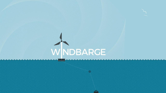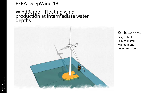### EERA DeepWind'18

### WindBarge - Floating wind<br>production at intermediate water depths



Reduce cost: Easy to build Easy to install Maintain and decommission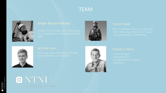### **TEAM**



#### Jørgen Ranum Krokstad





ONTNU

Det skapende universitet

#### Jan Tore Horn



0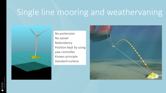# Single line mooring and weathervaning



No pretension No swivel Redundancy Position kept by using yaw controller Known principle Standard turbine

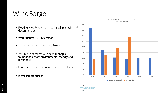# WindBarge

- Floating wind barge easy to install, maintain and decommission
- Water depths 40 100 meter
- Large marked within existing farms
- Possible to compete with fixed monopile foundations: more environmental friendly and lower cost
- Low draft built in standard harbors or docks
- Increased production 0,00



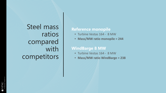Steel mass ratios compared with competitors

#### **Reference monopile**

- Turbine Vestas 164 8 MW
- **Mass/MW ratio monopile = 244**

#### **WindBarge 8 MW**

- Turbine Vestas 164 8 MW
- **Mass/MW ratio WindBarge = 238**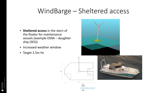## WindBarge – Sheltered access

- **Sheltered access** in the stern of the floater for maintenance vessels (example ESNA – daughter ship (SES))
- Increased weather window
- Target 2.5m Hs





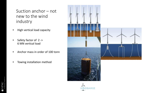### Suction anchor – not new to the wind industry

- High vertical load capacity
- Safety factor of 2 -> 6 MN vertical load
- Anchor mass in order of 100 tonn
- Towing installation method



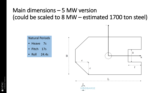### Main dimensions – 5 MW version (could be scaled to 8 MW – estimated 1700 ton steel)

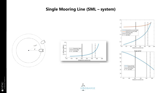#### **Single Mooring Line (SML – system)**





 $3.5$ 

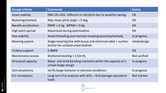| <b>Accept criteria</b> | <b>Comments</b>                                                                                   | <b>Status</b>  |
|------------------------|---------------------------------------------------------------------------------------------------|----------------|
| Intact stability       | DNV OS-J103. Different in roll/pitch due to weather vaning.                                       | OK             |
| Restoring moment       | Max mean pitch angle $<$ 5 deg                                                                    | OK             |
| Nacelle acceleration   | RMSE < $0.2g$ , MPMV < $0.6g$                                                                     | OK             |
| High pitch-period      | Maximized during optimization                                                                     | OK             |
| Yaw stability          | Avoid fishtailing and maintain heading passively/actively                                         | In progress    |
| Mooring system         | Single mooring line with buoys and electrical cable + suction<br>anchor for unobstructed rotation | Initial design |
| Turbine support        | 5-8MW                                                                                             | <b>OK</b>      |
| Maintenance access     | Sheltered docking < 2.5m Hs                                                                       | Not verified   |
| Structural capacity    | Wave- and wind bending moments within the capacity of a<br>simple barge design                    | In progress    |
| <b>ULS</b> simulations | Verify barge behavior in extreme conditions                                                       | In progress    |
| <b>FLS</b> simulations | Long-term FLS analyses with SCFs - find damage equivalent<br>loads                                | Not started    |

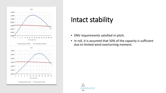

# Intact stability

- DNV requirements satisfied in pitch.
- In roll, it is assumed that 50% of the capacity is sufficient due to limited wind overturning moment.

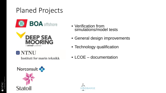# Planed Projects





### O NTNU

Institutt for marin teknikk



- Verification from simulations/model tests
- General design improvements
- Technology qualification
- LCOE documentation

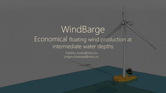### WindBarne Floating wind production at economical water Economical floating wind production at intermediate water depths WindBarge

Fredrik.s.moen@ntnu.no jorgen.r.krokstad@ntnu.no